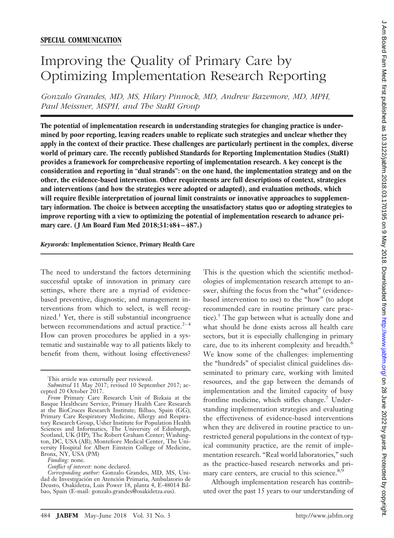## Improving the Quality of Primary Care by Optimizing Implementation Research Reporting

*Gonzalo Grandes, MD, MS, Hilary Pinnock, MD, Andrew Bazemore, MD, MPH, Paul Meissner, MSPH, and The StaRI Group*

**The potential of implementation research in understanding strategies for changing practice is undermined by poor reporting, leaving readers unable to replicate such strategies and unclear whether they apply in the context of their practice. These challenges are particularly pertinent in the complex, diverse world of primary care. The recently published Standards for Reporting Implementation Studies (StaRI) provides a framework for comprehensive reporting of implementation research. A key concept is the consideration and reporting in "dual strands": on the one hand, the implementation strategy and on the other, the evidence-based intervention. Other requirements are full descriptions of context, strategies and interventions (and how the strategies were adopted or adapted), and evaluation methods, which will require flexible interpretation of journal limit constraints or innovative approaches to supplementary information. The choice is between accepting the unsatisfactory status quo or adopting strategies to improve reporting with a view to optimizing the potential of implementation research to advance primary care. (J Am Board Fam Med 2018;31:484–487.)**

## *Keywords:* **Implementation Science, Primary Health Care**

The need to understand the factors determining successful uptake of innovation in primary care settings, where there are a myriad of evidencebased preventive, diagnostic, and management interventions from which to select, is well recognized.<sup>1</sup> Yet, there is still substantial incongruence between recommendations and actual practice. $2-4$ How can proven procedures be applied in a systematic and sustainable way to all patients likely to benefit from them, without losing effectiveness?

This is the question which the scientific methodologies of implementation research attempt to answer, shifting the focus from the "what" (evidencebased intervention to use) to the "how" (to adopt recommended care in routine primary care practice).<sup>5</sup> The gap between what is actually done and what should be done exists across all health care sectors, but it is especially challenging in primary care, due to its inherent complexity and breadth.<sup>6</sup> We know some of the challenges: implementing the "hundreds" of specialist clinical guidelines disseminated to primary care, working with limited resources, and the gap between the demands of implementation and the limited capacity of busy frontline medicine, which stifles change.<sup>7</sup> Understanding implementation strategies and evaluating the effectiveness of evidence-based interventions when they are delivered in routine practice to unrestricted general populations in the context of typical community practice, are the remit of implementation research. "Real world laboratories," such as the practice-based research networks and primary care centers, are crucial to this science.<sup>8,9</sup>

Although implementation research has contributed over the past 15 years to our understanding of

This article was externally peer reviewed.

*Submitted* 11 May 2017; revised 10 September 2017; accepted 20 October 2017.

*From* Primary Care Research Unit of Bizkaia at the Basque Healthcare Service, Primary Health Care Research at the BioCruces Research Institute; Bilbao, Spain (GG); Primary Care Respiratory Medicine, Allergy and Respiratory Research Group, Usher Institute for Population Health Sciences and Informatics, The University of Edinburgh, Scotland, UK (HP); The Robert Graham Center; Washington, DC, USA (AB); Montefiore Medical Center, The University Hospital for Albert Einstein College of Medicine, Bronx, NY, USA (PM)

*Funding:* none.

*Conflict of interest:* none declared.

*Corresponding author:* Gonzalo Grandes, MD, MS, Unidad de Investigación en Atención Primaria, Ambulatorio de Deusto, Osakidetza, Luis Power 18, planta 4, E-48014 Bilbao, Spain (E-mail: gonzalo.grandes@osakidetza.eus).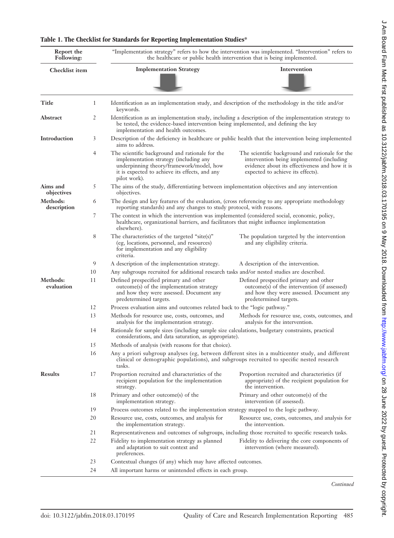| Report the<br>Following:<br><b>Checklist</b> item |    | "Implementation strategy" refers to how the intervention was implemented. "Intervention" refers to<br>the healthcare or public health intervention that is being implemented.                                                     |                                                                                                                                                                                     |  |
|---------------------------------------------------|----|-----------------------------------------------------------------------------------------------------------------------------------------------------------------------------------------------------------------------------------|-------------------------------------------------------------------------------------------------------------------------------------------------------------------------------------|--|
|                                                   |    | <b>Implementation Strategy</b>                                                                                                                                                                                                    | Intervention                                                                                                                                                                        |  |
| Title                                             | 1  | Identification as an implementation study, and description of the methodology in the title and/or<br>keywords.                                                                                                                    |                                                                                                                                                                                     |  |
| Abstract                                          | 2  | Identification as an implementation study, including a description of the implementation strategy to<br>be tested, the evidence-based intervention being implemented, and defining the key<br>implementation and health outcomes. |                                                                                                                                                                                     |  |
| Introduction                                      | 3  | Description of the deficiency in healthcare or public health that the intervention being implemented<br>aims to address.                                                                                                          |                                                                                                                                                                                     |  |
|                                                   | 4  | The scientific background and rationale for the<br>implementation strategy (including any<br>underpinning theory/framework/model, how<br>it is expected to achieve its effects, and any<br>pilot work).                           | The scientific background and rationale for the<br>intervention being implemented (including<br>evidence about its effectiveness and how it is<br>expected to achieve its effects). |  |
| Aims and<br>objectives                            | 5  | The aims of the study, differentiating between implementation objectives and any intervention<br>objectives.                                                                                                                      |                                                                                                                                                                                     |  |
| Methods:<br>description                           | 6  | The design and key features of the evaluation, (cross referencing to any appropriate methodology<br>reporting standards) and any changes to study protocol, with reasons.                                                         |                                                                                                                                                                                     |  |
|                                                   | 7  | The context in which the intervention was implemented (considered social, economic, policy,<br>healthcare, organizational barriers, and facilitators that might influence implementation<br>elsewhere).                           |                                                                                                                                                                                     |  |
|                                                   | 8  | The characteristics of the targeted "site(s)"<br>(eg, locations, personnel, and resources)<br>for implementation and any eligibility<br>criteria.                                                                                 | The population targeted by the intervention<br>and any eligibility criteria.                                                                                                        |  |
|                                                   | 9  | A description of the implementation strategy.                                                                                                                                                                                     | A description of the intervention.                                                                                                                                                  |  |
|                                                   | 10 | Any subgroups recruited for additional research tasks and/or nested studies are described.                                                                                                                                        |                                                                                                                                                                                     |  |
| Methods:<br>evaluation                            | 11 | Defined prespecified primary and other<br>outcome(s) of the implementation strategy<br>and how they were assessed. Document any<br>predetermined targets.                                                                         | Defined prespecified primary and other<br>outcome(s) of the intervention (if assessed)<br>and how they were assessed. Document any<br>predetermined targets.                        |  |
|                                                   | 12 | Process evaluation aims and outcomes related back to the "logic pathway."                                                                                                                                                         |                                                                                                                                                                                     |  |
|                                                   | 13 | Methods for resource use, costs, outcomes, and<br>analysis for the implementation strategy.                                                                                                                                       | Methods for resource use, costs, outcomes, and<br>analysis for the intervention.                                                                                                    |  |
|                                                   | 14 | Rationale for sample sizes (including sample size calculations, budgetary constraints, practical<br>considerations, and data saturation, as appropriate).                                                                         |                                                                                                                                                                                     |  |
|                                                   | 15 | Methods of analysis (with reasons for that choice).                                                                                                                                                                               |                                                                                                                                                                                     |  |
|                                                   | 16 | Any a priori subgroup analyses (eg, between different sites in a multicenter study, and different<br>clinical or demographic populations), and subgroups recruited to specific nested research<br>tasks.                          |                                                                                                                                                                                     |  |
| Results                                           | 17 | Proportion recruited and characteristics of the<br>recipient population for the implementation<br>strategy.                                                                                                                       | Proportion recruited and characteristics (if<br>appropriate) of the recipient population for<br>the intervention.                                                                   |  |
|                                                   | 18 | Primary and other outcome(s) of the<br>implementation strategy.                                                                                                                                                                   | Primary and other outcome(s) of the<br>intervention (if assessed).                                                                                                                  |  |
|                                                   | 19 | Process outcomes related to the implementation strategy mapped to the logic pathway.                                                                                                                                              |                                                                                                                                                                                     |  |
|                                                   | 20 | Resource use, costs, outcomes, and analysis for<br>the implementation strategy.                                                                                                                                                   | Resource use, costs, outcomes, and analysis for<br>the intervention.                                                                                                                |  |
|                                                   | 21 | Representativeness and outcomes of subgroups, including those recruited to specific research tasks.                                                                                                                               |                                                                                                                                                                                     |  |
|                                                   | 22 | Fidelity to implementation strategy as planned<br>and adaptation to suit context and<br>preferences.                                                                                                                              | Fidelity to delivering the core components of<br>intervention (where measured).                                                                                                     |  |
|                                                   | 23 | Contextual changes (if any) which may have affected outcomes.                                                                                                                                                                     |                                                                                                                                                                                     |  |
|                                                   | 24 | All important harms or unintended effects in each group.                                                                                                                                                                          |                                                                                                                                                                                     |  |

## **Table 1. The Checklist for Standards for Reporting Implementation Studies\***

*Continued*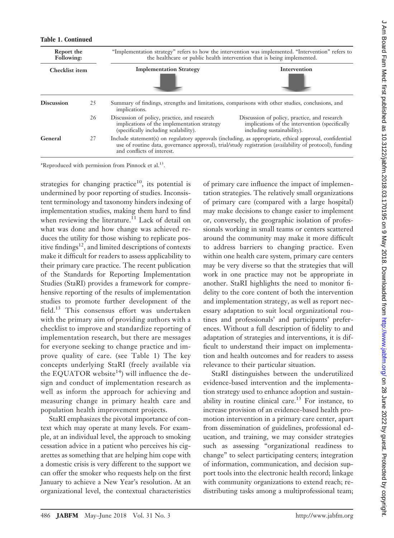| <b>Table 1. Continued</b>                  |    |                                                                                                                                                                                                                                                  |                                                                                                                              |  |
|--------------------------------------------|----|--------------------------------------------------------------------------------------------------------------------------------------------------------------------------------------------------------------------------------------------------|------------------------------------------------------------------------------------------------------------------------------|--|
| Report the<br>Following:<br>Checklist item |    | "Implementation strategy" refers to how the intervention was implemented. "Intervention" refers to<br>the healthcare or public health intervention that is being implemented.                                                                    |                                                                                                                              |  |
|                                            |    | <b>Implementation Strategy</b>                                                                                                                                                                                                                   | <b>Intervention</b>                                                                                                          |  |
| <b>Discussion</b>                          | 25 | Summary of findings, strengths and limitations, comparisons with other studies, conclusions, and<br>implications.                                                                                                                                |                                                                                                                              |  |
|                                            | 26 | Discussion of policy, practice, and research<br>implications of the implementation strategy<br>(specifically including scalability).                                                                                                             | Discussion of policy, practice, and research<br>implications of the intervention (specifically<br>including sustainability). |  |
| General                                    | 27 | Include statement(s) on regulatory approvals (including, as appropriate, ethical approval, confidential<br>use of routine data, governance approval), trial/study registration (availability of protocol), funding<br>and conflicts of interest. |                                                                                                                              |  |

\*Reproduced with permission from Pinnock et al.13.

strategies for changing practice<sup>10</sup>, its potential is undermined by poor reporting of studies. Inconsistent terminology and taxonomy hinders indexing of implementation studies, making them hard to find when reviewing the literature.<sup>11</sup> Lack of detail on what was done and how change was achieved reduces the utility for those wishing to replicate positive findings<sup>12</sup>, and limited descriptions of contexts make it difficult for readers to assess applicability to their primary care practice. The recent publication of the Standards for Reporting Implementation Studies (StaRI) provides a framework for comprehensive reporting of the results of implementation studies to promote further development of the field.13 This consensus effort was undertaken with the primary aim of providing authors with a checklist to improve and standardize reporting of implementation research, but there are messages for everyone seeking to change practice and improve quality of care. (see Table 1) The key concepts underlying StaRI (freely available via the EQUATOR website<sup>14</sup>) will influence the design and conduct of implementation research as well as inform the approach for achieving and measuring change in primary health care and population health improvement projects.

StaRI emphasizes the pivotal importance of context which may operate at many levels. For example, at an individual level, the approach to smoking cessation advice in a patient who perceives his cigarettes as something that are helping him cope with a domestic crisis is very different to the support we can offer the smoker who requests help on the first January to achieve a New Year's resolution. At an organizational level, the contextual characteristics of primary care influence the impact of implementation strategies. The relatively small organizations of primary care (compared with a large hospital) may make decisions to change easier to implement or, conversely, the geographic isolation of professionals working in small teams or centers scattered around the community may make it more difficult to address barriers to changing practice. Even within one health care system, primary care centers may be very diverse so that the strategies that will work in one practice may not be appropriate in another. StaRI highlights the need to monitor fidelity to the core content of both the intervention and implementation strategy, as well as report necessary adaptation to suit local organizational routines and professionals' and participants' preferences. Without a full description of fidelity to and adaptation of strategies and interventions, it is difficult to understand their impact on implementation and health outcomes and for readers to assess relevance to their particular situation.

StaRI distinguishes between the underutilized evidence-based intervention and the implementation strategy used to enhance adoption and sustainability in routine clinical care.<sup>15</sup> For instance, to increase provision of an evidence-based health promotion intervention in a primary care center, apart from dissemination of guidelines, professional education, and training, we may consider strategies such as assessing "organizational readiness to change" to select participating centers; integration of information, communication, and decision support tools into the electronic health record; linkage with community organizations to extend reach; redistributing tasks among a multiprofessional team;